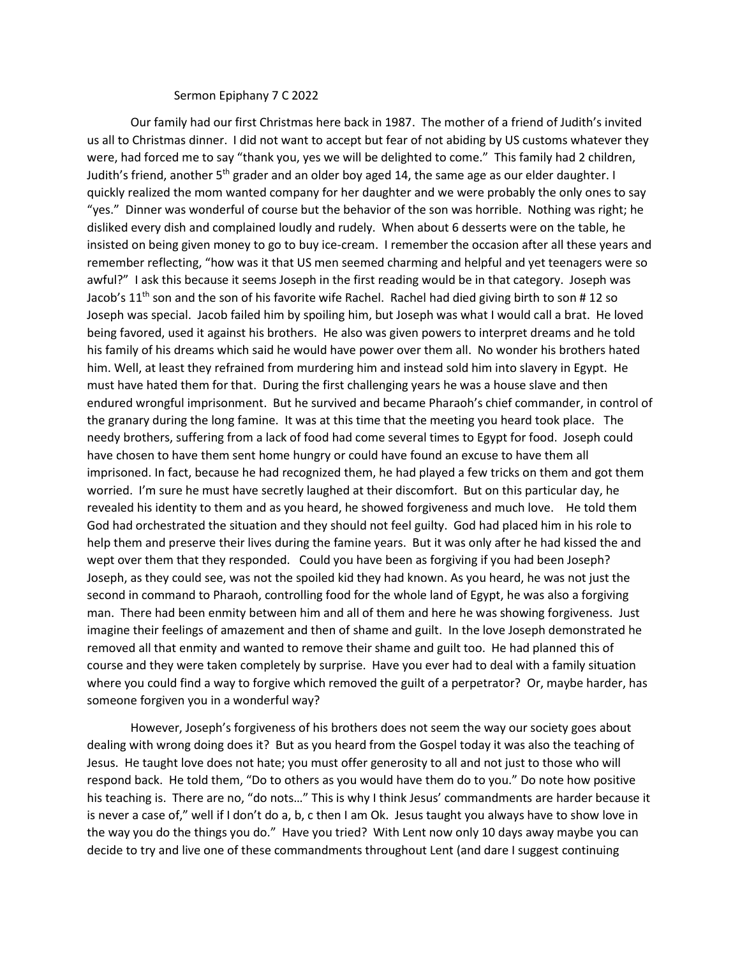## Sermon Epiphany 7 C 2022

Our family had our first Christmas here back in 1987. The mother of a friend of Judith's invited us all to Christmas dinner. I did not want to accept but fear of not abiding by US customs whatever they were, had forced me to say "thank you, yes we will be delighted to come." This family had 2 children, Judith's friend, another 5<sup>th</sup> grader and an older boy aged 14, the same age as our elder daughter. I quickly realized the mom wanted company for her daughter and we were probably the only ones to say "yes." Dinner was wonderful of course but the behavior of the son was horrible. Nothing was right; he disliked every dish and complained loudly and rudely. When about 6 desserts were on the table, he insisted on being given money to go to buy ice-cream. I remember the occasion after all these years and remember reflecting, "how was it that US men seemed charming and helpful and yet teenagers were so awful?" I ask this because it seems Joseph in the first reading would be in that category. Joseph was Jacob's 11<sup>th</sup> son and the son of his favorite wife Rachel. Rachel had died giving birth to son # 12 so Joseph was special. Jacob failed him by spoiling him, but Joseph was what I would call a brat. He loved being favored, used it against his brothers. He also was given powers to interpret dreams and he told his family of his dreams which said he would have power over them all. No wonder his brothers hated him. Well, at least they refrained from murdering him and instead sold him into slavery in Egypt. He must have hated them for that. During the first challenging years he was a house slave and then endured wrongful imprisonment. But he survived and became Pharaoh's chief commander, in control of the granary during the long famine. It was at this time that the meeting you heard took place. The needy brothers, suffering from a lack of food had come several times to Egypt for food. Joseph could have chosen to have them sent home hungry or could have found an excuse to have them all imprisoned. In fact, because he had recognized them, he had played a few tricks on them and got them worried. I'm sure he must have secretly laughed at their discomfort. But on this particular day, he revealed his identity to them and as you heard, he showed forgiveness and much love. He told them God had orchestrated the situation and they should not feel guilty. God had placed him in his role to help them and preserve their lives during the famine years. But it was only after he had kissed the and wept over them that they responded. Could you have been as forgiving if you had been Joseph? Joseph, as they could see, was not the spoiled kid they had known. As you heard, he was not just the second in command to Pharaoh, controlling food for the whole land of Egypt, he was also a forgiving man. There had been enmity between him and all of them and here he was showing forgiveness. Just imagine their feelings of amazement and then of shame and guilt. In the love Joseph demonstrated he removed all that enmity and wanted to remove their shame and guilt too. He had planned this of course and they were taken completely by surprise. Have you ever had to deal with a family situation where you could find a way to forgive which removed the guilt of a perpetrator? Or, maybe harder, has someone forgiven you in a wonderful way?

However, Joseph's forgiveness of his brothers does not seem the way our society goes about dealing with wrong doing does it? But as you heard from the Gospel today it was also the teaching of Jesus. He taught love does not hate; you must offer generosity to all and not just to those who will respond back. He told them, "Do to others as you would have them do to you." Do note how positive his teaching is. There are no, "do nots…" This is why I think Jesus' commandments are harder because it is never a case of," well if I don't do a, b, c then I am Ok. Jesus taught you always have to show love in the way you do the things you do." Have you tried? With Lent now only 10 days away maybe you can decide to try and live one of these commandments throughout Lent (and dare I suggest continuing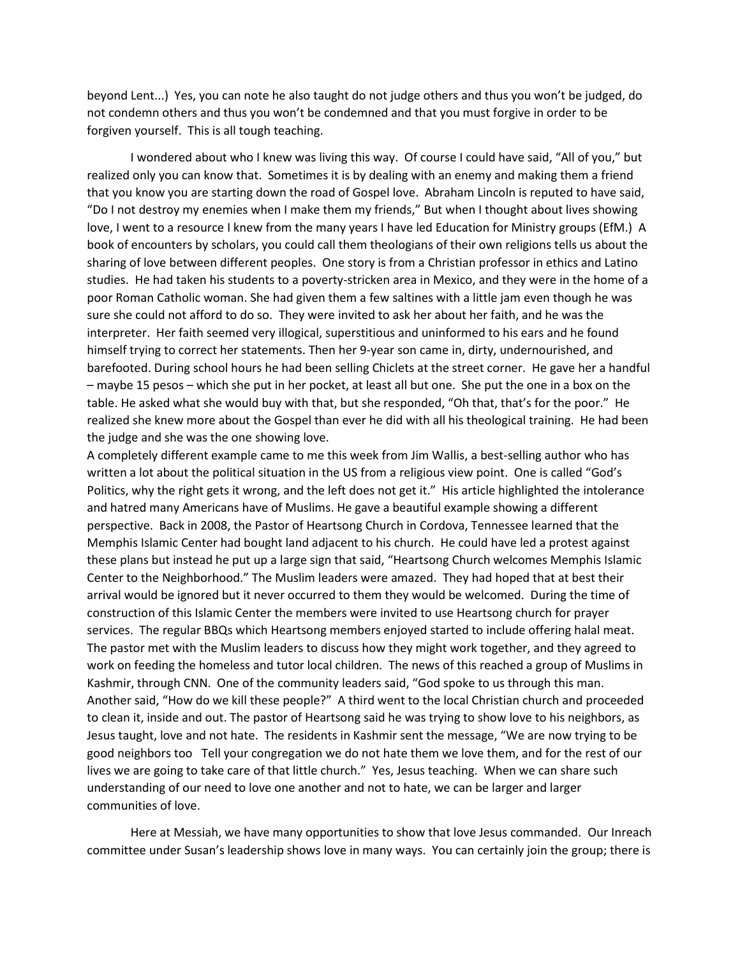beyond Lent...) Yes, you can note he also taught do not judge others and thus you won't be judged, do not condemn others and thus you won't be condemned and that you must forgive in order to be forgiven yourself. This is all tough teaching.

I wondered about who I knew was living this way. Of course I could have said, "All of you," but realized only you can know that. Sometimes it is by dealing with an enemy and making them a friend that you know you are starting down the road of Gospel love. Abraham Lincoln is reputed to have said, "Do I not destroy my enemies when I make them my friends," But when I thought about lives showing love, I went to a resource I knew from the many years I have led Education for Ministry groups (EfM.) A book of encounters by scholars, you could call them theologians of their own religions tells us about the sharing of love between different peoples. One story is from a Christian professor in ethics and Latino studies. He had taken his students to a poverty-stricken area in Mexico, and they were in the home of a poor Roman Catholic woman. She had given them a few saltines with a little jam even though he was sure she could not afford to do so. They were invited to ask her about her faith, and he was the interpreter. Her faith seemed very illogical, superstitious and uninformed to his ears and he found himself trying to correct her statements. Then her 9-year son came in, dirty, undernourished, and barefooted. During school hours he had been selling Chiclets at the street corner. He gave her a handful – maybe 15 pesos – which she put in her pocket, at least all but one. She put the one in a box on the table. He asked what she would buy with that, but she responded, "Oh that, that's for the poor." He realized she knew more about the Gospel than ever he did with all his theological training. He had been the judge and she was the one showing love.

A completely different example came to me this week from Jim Wallis, a best-selling author who has written a lot about the political situation in the US from a religious view point. One is called "God's Politics, why the right gets it wrong, and the left does not get it." His article highlighted the intolerance and hatred many Americans have of Muslims. He gave a beautiful example showing a different perspective. Back in 2008, the Pastor of Heartsong Church in Cordova, Tennessee learned that the Memphis Islamic Center had bought land adjacent to his church. He could have led a protest against these plans but instead he put up a large sign that said, "Heartsong Church welcomes Memphis Islamic Center to the Neighborhood." The Muslim leaders were amazed. They had hoped that at best their arrival would be ignored but it never occurred to them they would be welcomed. During the time of construction of this Islamic Center the members were invited to use Heartsong church for prayer services. The regular BBQs which Heartsong members enjoyed started to include offering halal meat. The pastor met with the Muslim leaders to discuss how they might work together, and they agreed to work on feeding the homeless and tutor local children. The news of this reached a group of Muslims in Kashmir, through CNN. One of the community leaders said, "God spoke to us through this man. Another said, "How do we kill these people?" A third went to the local Christian church and proceeded to clean it, inside and out. The pastor of Heartsong said he was trying to show love to his neighbors, as Jesus taught, love and not hate. The residents in Kashmir sent the message, "We are now trying to be good neighbors too Tell your congregation we do not hate them we love them, and for the rest of our lives we are going to take care of that little church." Yes, Jesus teaching. When we can share such understanding of our need to love one another and not to hate, we can be larger and larger communities of love.

Here at Messiah, we have many opportunities to show that love Jesus commanded. Our Inreach committee under Susan's leadership shows love in many ways. You can certainly join the group; there is